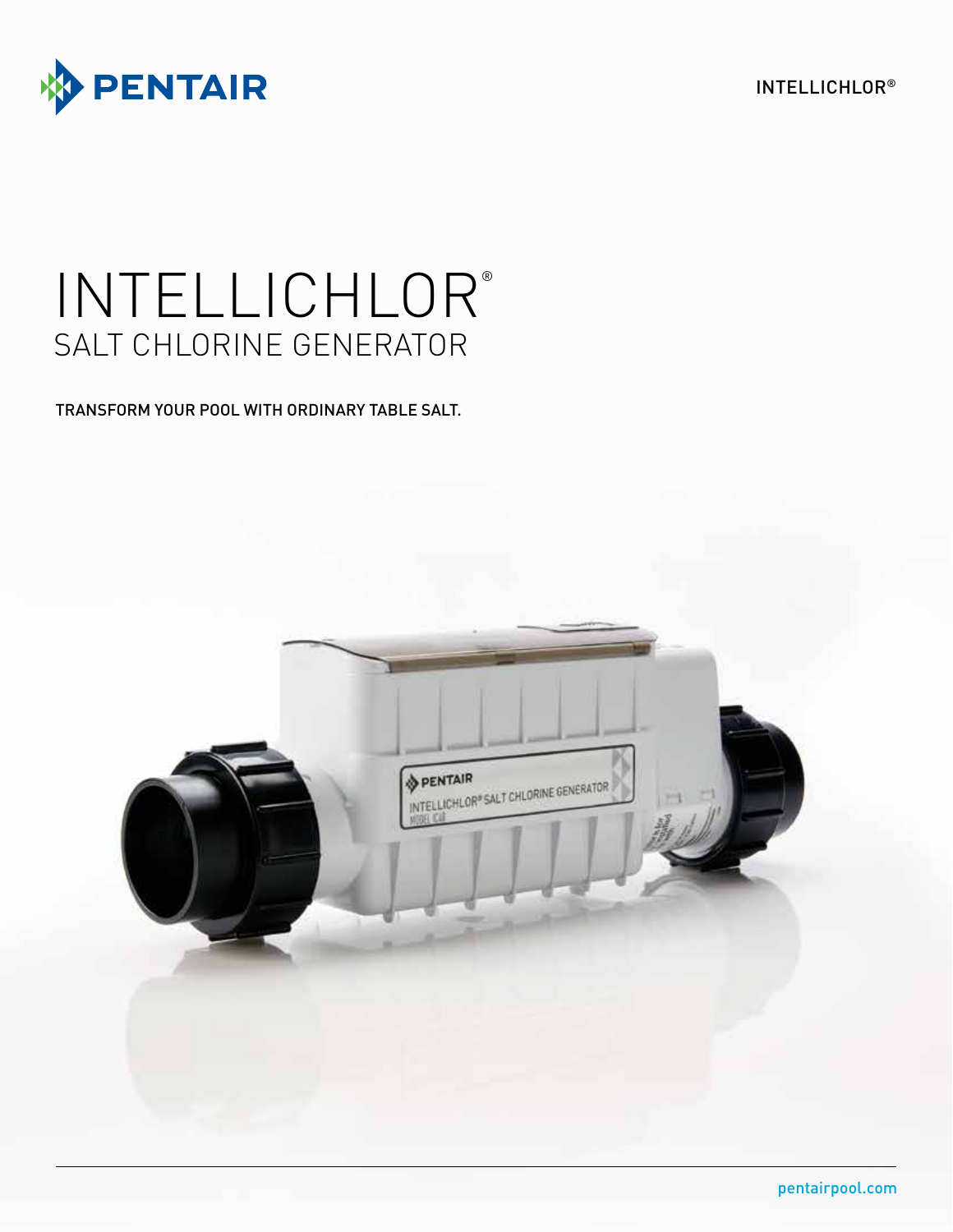INTELLICHLOR®



# INTELLICHLOR® SALT CHLORINE GENERATOR

TRANSFORM YOUR POOL WITH ORDINARY TABLE SALT.

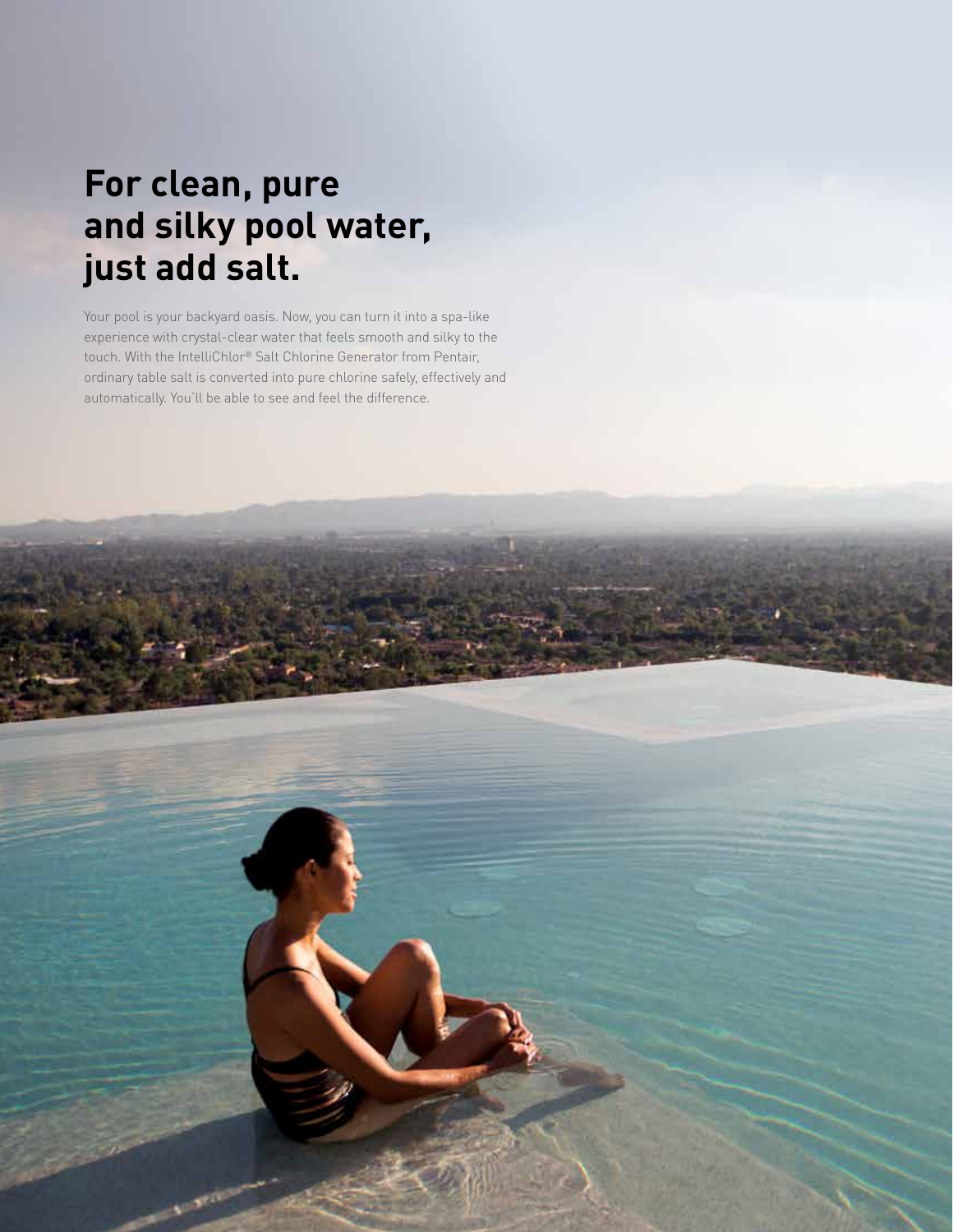## **For clean, pure and silky pool water, just add salt.**

Your pool is your backyard oasis. Now, you can turn it into a spa-like experience with crystal-clear water that feels smooth and silky to the touch. With the IntelliChlor® Salt Chlorine Generator from Pentair, ordinary table salt is converted into pure chlorine safely, effectively and automatically. You'll be able to see and feel the difference.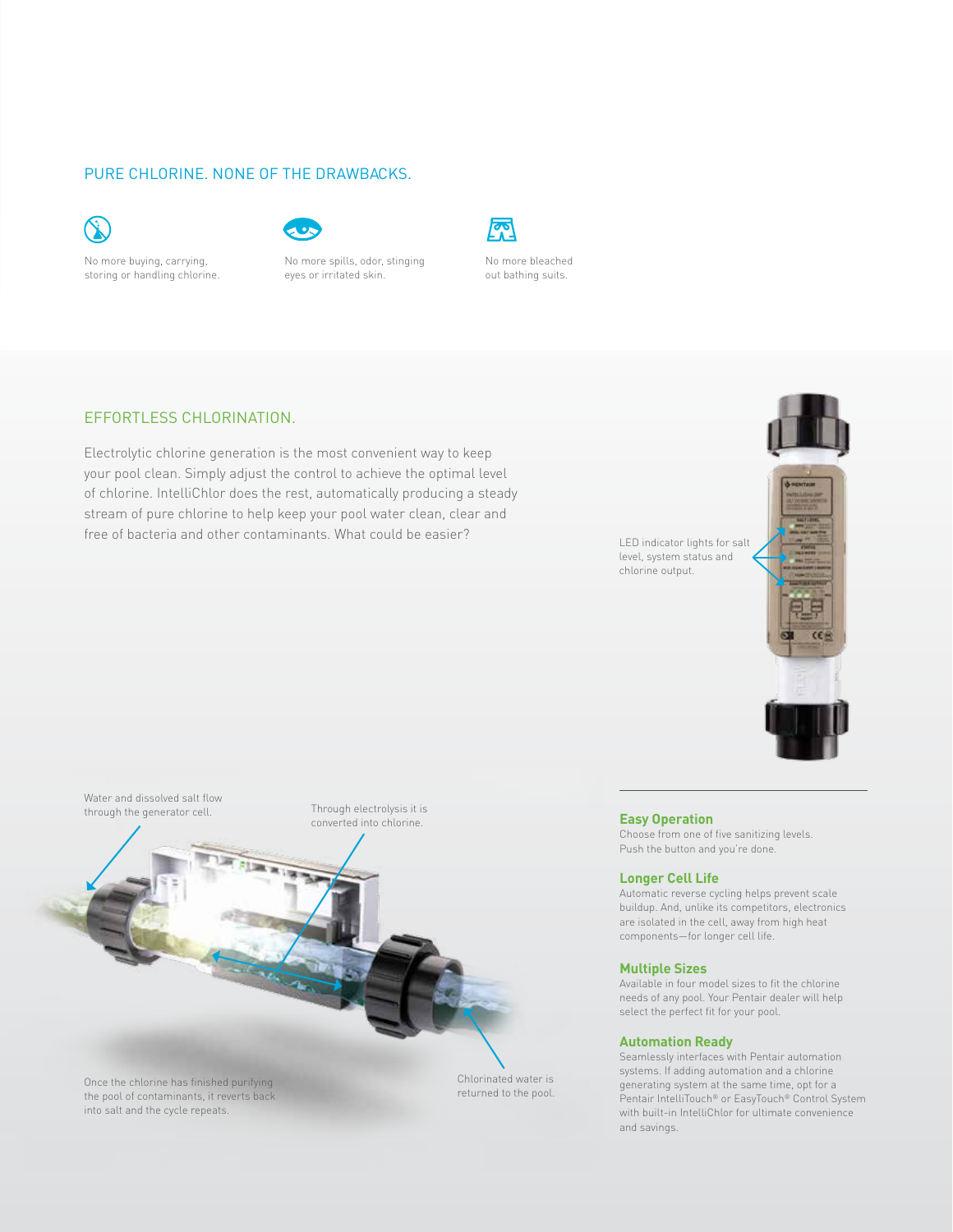#### PURE CHLORINE. NONE OF THE DRAWBACKS.



No more buying, carrying, storing or handling chlorine.



No more spills, odor, stinging eyes or irritated skin.



No more bleached out bathing suits.

#### EFFORTLESS CHLORINATION.

Electrolytic chlorine generation is the most convenient way to keep your pool clean. Simply adjust the control to achieve the optimal level of chlorine. IntelliChlor does the rest, automatically producing a steady stream of pure chlorine to help keep your pool water clean, clear and free of bacteria and other contaminants. What could be easier?



and savings.